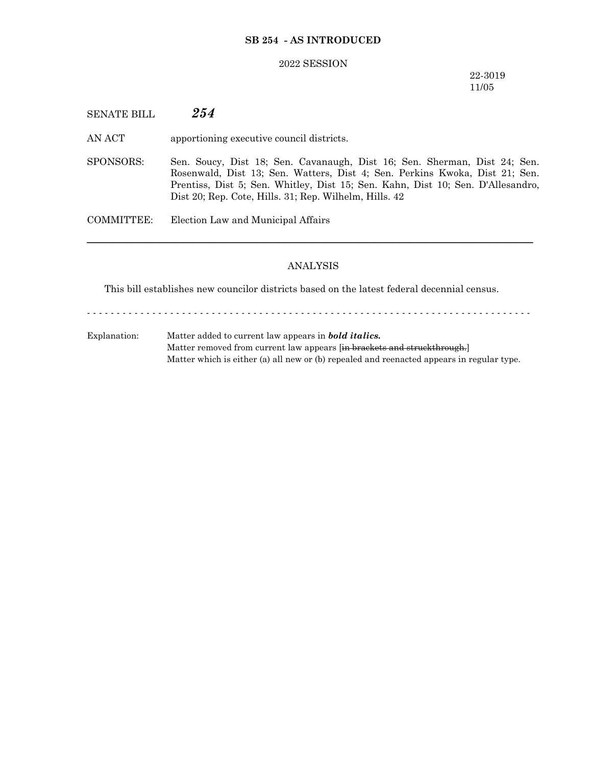## **SB 254 - AS INTRODUCED**

#### 2022 SESSION

22-3019 11/05

# SENATE BILL *254*

AN ACT apportioning executive council districts.

SPONSORS: Sen. Soucy, Dist 18; Sen. Cavanaugh, Dist 16; Sen. Sherman, Dist 24; Sen. Rosenwald, Dist 13; Sen. Watters, Dist 4; Sen. Perkins Kwoka, Dist 21; Sen. Prentiss, Dist 5; Sen. Whitley, Dist 15; Sen. Kahn, Dist 10; Sen. D'Allesandro, Dist 20; Rep. Cote, Hills. 31; Rep. Wilhelm, Hills. 42

COMMITTEE: Election Law and Municipal Affairs

### ANALYSIS

─────────────────────────────────────────────────────────────────

This bill establishes new councilor districts based on the latest federal decennial census.

- - - - - - - - - - - - - - - - - - - - - - - - - - - - - - - - - - - - - - - - - - - - - - - - - - - - - - - - - - - - - - - - - - - - - - - - - - -

Explanation: Matter added to current law appears in *bold italics.* Matter removed from current law appears [in brackets and struckthrough.] Matter which is either (a) all new or (b) repealed and reenacted appears in regular type.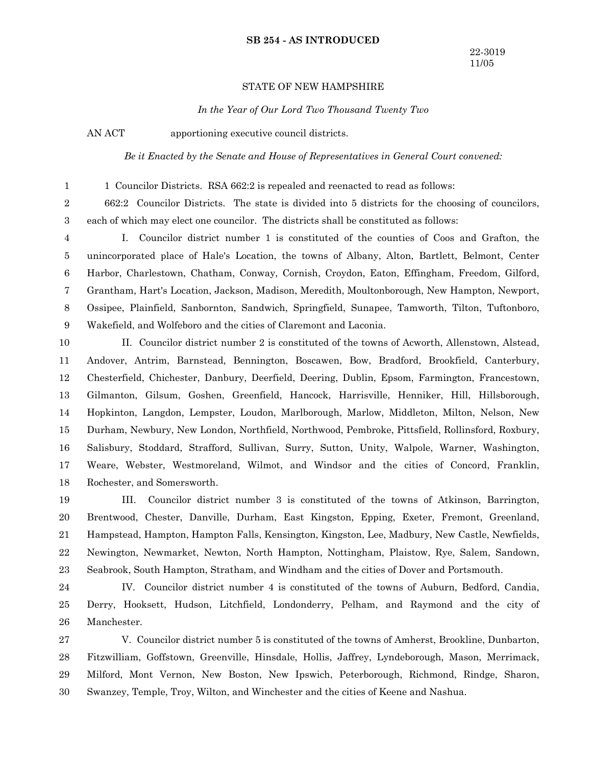#### **SB 254 - AS INTRODUCED**

### STATE OF NEW HAMPSHIRE

*In the Year of Our Lord Two Thousand Twenty Two*

AN ACT apportioning executive council districts.

1

*Be it Enacted by the Senate and House of Representatives in General Court convened:*

1 Councilor Districts. RSA 662:2 is repealed and reenacted to read as follows:

662:2 Councilor Districts. The state is divided into 5 districts for the choosing of councilors, each of which may elect one councilor. The districts shall be constituted as follows: 2 3

I. Councilor district number 1 is constituted of the counties of Coos and Grafton, the unincorporated place of Hale's Location, the towns of Albany, Alton, Bartlett, Belmont, Center Harbor, Charlestown, Chatham, Conway, Cornish, Croydon, Eaton, Effingham, Freedom, Gilford, Grantham, Hart's Location, Jackson, Madison, Meredith, Moultonborough, New Hampton, Newport, Ossipee, Plainfield, Sanbornton, Sandwich, Springfield, Sunapee, Tamworth, Tilton, Tuftonboro, Wakefield, and Wolfeboro and the cities of Claremont and Laconia. 4 5 6 7 8 9

II. Councilor district number 2 is constituted of the towns of Acworth, Allenstown, Alstead, Andover, Antrim, Barnstead, Bennington, Boscawen, Bow, Bradford, Brookfield, Canterbury, Chesterfield, Chichester, Danbury, Deerfield, Deering, Dublin, Epsom, Farmington, Francestown, Gilmanton, Gilsum, Goshen, Greenfield, Hancock, Harrisville, Henniker, Hill, Hillsborough, Hopkinton, Langdon, Lempster, Loudon, Marlborough, Marlow, Middleton, Milton, Nelson, New Durham, Newbury, New London, Northfield, Northwood, Pembroke, Pittsfield, Rollinsford, Roxbury, Salisbury, Stoddard, Strafford, Sullivan, Surry, Sutton, Unity, Walpole, Warner, Washington, Weare, Webster, Westmoreland, Wilmot, and Windsor and the cities of Concord, Franklin, Rochester, and Somersworth. 10 11 12 13 14 15 16 17 18

III. Councilor district number 3 is constituted of the towns of Atkinson, Barrington, Brentwood, Chester, Danville, Durham, East Kingston, Epping, Exeter, Fremont, Greenland, Hampstead, Hampton, Hampton Falls, Kensington, Kingston, Lee, Madbury, New Castle, Newfields, Newington, Newmarket, Newton, North Hampton, Nottingham, Plaistow, Rye, Salem, Sandown, Seabrook, South Hampton, Stratham, and Windham and the cities of Dover and Portsmouth. 19 20 21 22 23

IV. Councilor district number 4 is constituted of the towns of Auburn, Bedford, Candia, Derry, Hooksett, Hudson, Litchfield, Londonderry, Pelham, and Raymond and the city of Manchester. 24 25 26

V. Councilor district number 5 is constituted of the towns of Amherst, Brookline, Dunbarton, Fitzwilliam, Goffstown, Greenville, Hinsdale, Hollis, Jaffrey, Lyndeborough, Mason, Merrimack, Milford, Mont Vernon, New Boston, New Ipswich, Peterborough, Richmond, Rindge, Sharon, Swanzey, Temple, Troy, Wilton, and Winchester and the cities of Keene and Nashua. 27 28 29 30